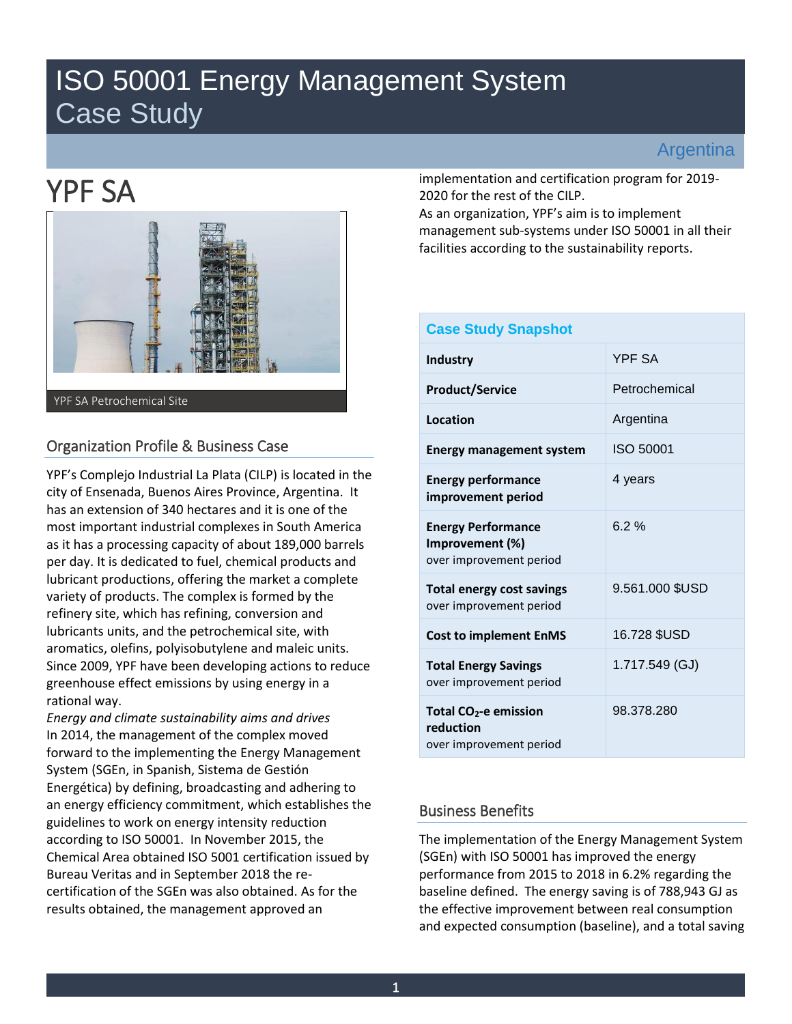## ISO 50001 Energy Management System Case Study

## Argentina

# YPF SA



## Organization Profile & Business Case

YPF's Complejo Industrial La Plata (CILP) is located in the city of Ensenada, Buenos Aires Province, Argentina. It has an extension of 340 hectares and it is one of the most important industrial complexes in South America as it has a processing capacity of about 189,000 barrels per day. It is dedicated to fuel, chemical products and lubricant productions, offering the market a complete variety of products. The complex is formed by the refinery site, which has refining, conversion and lubricants units, and the petrochemical site, with aromatics, olefins, polyisobutylene and maleic units. Since 2009, YPF have been developing actions to reduce greenhouse effect emissions by using energy in a rational way.

*Energy and climate sustainability aims and drives*  In 2014, the management of the complex moved forward to the implementing the Energy Management System (SGEn, in Spanish, Sistema de Gestión Energética) by defining, broadcasting and adhering to an energy efficiency commitment, which establishes the guidelines to work on energy intensity reduction according to ISO 50001. In November 2015, the Chemical Area obtained ISO 5001 certification issued by Bureau Veritas and in September 2018 the recertification of the SGEn was also obtained. As for the results obtained, the management approved an

implementation and certification program for 2019- 2020 for the rest of the CILP.

As an organization, YPF's aim is to implement management sub-systems under ISO 50001 in all their facilities according to the sustainability reports.

| <b>Case Study Snapshot</b>                                              |                 |
|-------------------------------------------------------------------------|-----------------|
| Industry                                                                | <b>YPF SA</b>   |
| <b>Product/Service</b>                                                  | Petrochemical   |
| <b>Location</b>                                                         | Argentina       |
| <b>Energy management system</b>                                         | ISO 50001       |
| <b>Energy performance</b><br>improvement period                         | 4 years         |
| <b>Energy Performance</b><br>Improvement (%)<br>over improvement period | 6.2%            |
| <b>Total energy cost savings</b><br>over improvement period             | 9.561.000 \$USD |
| <b>Cost to implement EnMS</b>                                           | 16.728 \$USD    |
| <b>Total Energy Savings</b><br>over improvement period                  | 1.717.549 (GJ)  |
| Total $CO2$ -e emission<br>reduction<br>over improvement period         | 98.378.280      |

## Business Benefits

The implementation of the Energy Management System (SGEn) with ISO 50001 has improved the energy performance from 2015 to 2018 in 6.2% regarding the baseline defined. The energy saving is of 788,943 GJ as the effective improvement between real consumption and expected consumption (baseline), and a total saving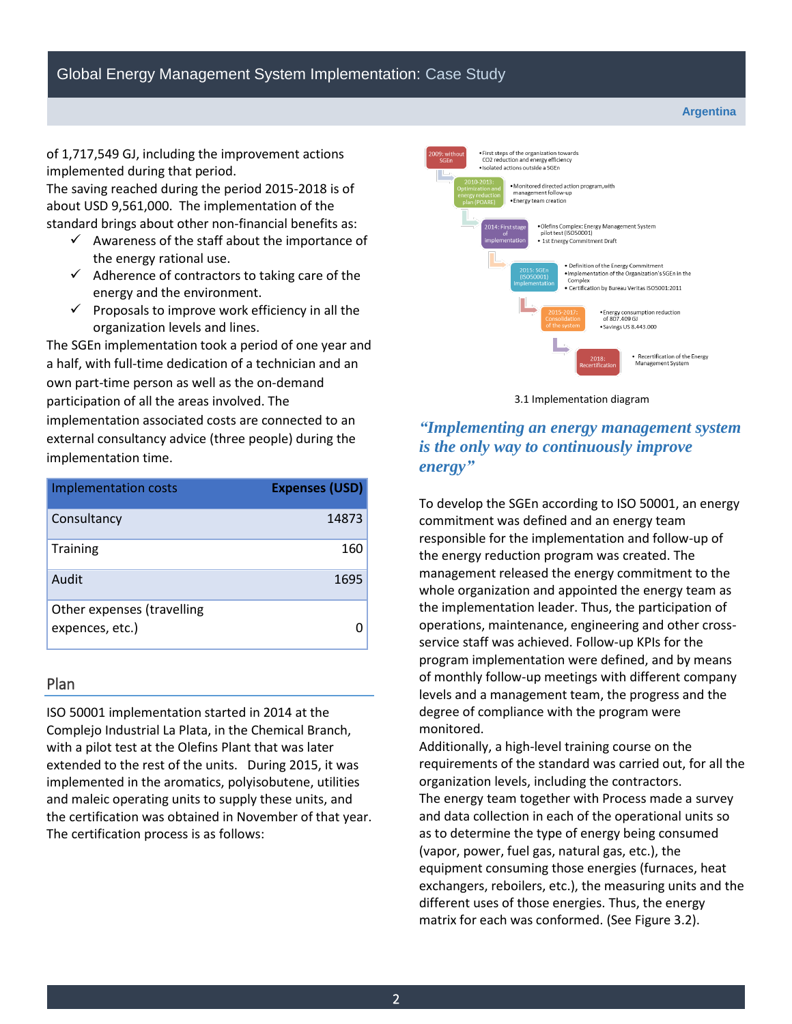of 1,717,549 GJ, including the improvement actions implemented during that period.

The saving reached during the period 2015-2018 is of about USD 9,561,000. The implementation of the standard brings about other non-financial benefits as:

- $\checkmark$  Awareness of the staff about the importance of the energy rational use.
- $\checkmark$  Adherence of contractors to taking care of the energy and the environment.
- $\checkmark$  Proposals to improve work efficiency in all the organization levels and lines.

The SGEn implementation took a period of one year and a half, with full-time dedication of a technician and an own part-time person as well as the on-demand participation of all the areas involved. The implementation associated costs are connected to an external consultancy advice (three people) during the implementation time.

| <b>Implementation costs</b> | <b>Expenses (USD)</b> |
|-----------------------------|-----------------------|
| Consultancy                 | 14873                 |
| <b>Training</b>             | 160                   |
| Audit                       | 1695                  |
| Other expenses (travelling  |                       |
| expences, etc.)             |                       |

#### Plan

ISO 50001 implementation started in 2014 at the Complejo Industrial La Plata, in the Chemical Branch, with a pilot test at the Olefins Plant that was later extended to the rest of the units. During 2015, it was implemented in the aromatics, polyisobutene, utilities and maleic operating units to supply these units, and the certification was obtained in November of that year. The certification process is as follows:



3.1 Implementation diagram

#### *"Implementing an energy management system is the only way to continuously improve energy"*

To develop the SGEn according to ISO 50001, an energy commitment was defined and an energy team responsible for the implementation and follow-up of the energy reduction program was created. The management released the energy commitment to the whole organization and appointed the energy team as the implementation leader. Thus, the participation of operations, maintenance, engineering and other crossservice staff was achieved. Follow-up KPIs for the program implementation were defined, and by means of monthly follow-up meetings with different company levels and a management team, the progress and the degree of compliance with the program were monitored.

Additionally, a high-level training course on the requirements of the standard was carried out, for all the organization levels, including the contractors. The energy team together with Process made a survey and data collection in each of the operational units so as to determine the type of energy being consumed (vapor, power, fuel gas, natural gas, etc.), the equipment consuming those energies (furnaces, heat exchangers, reboilers, etc.), the measuring units and the different uses of those energies. Thus, the energy matrix for each was conformed. (See Figure 3.2).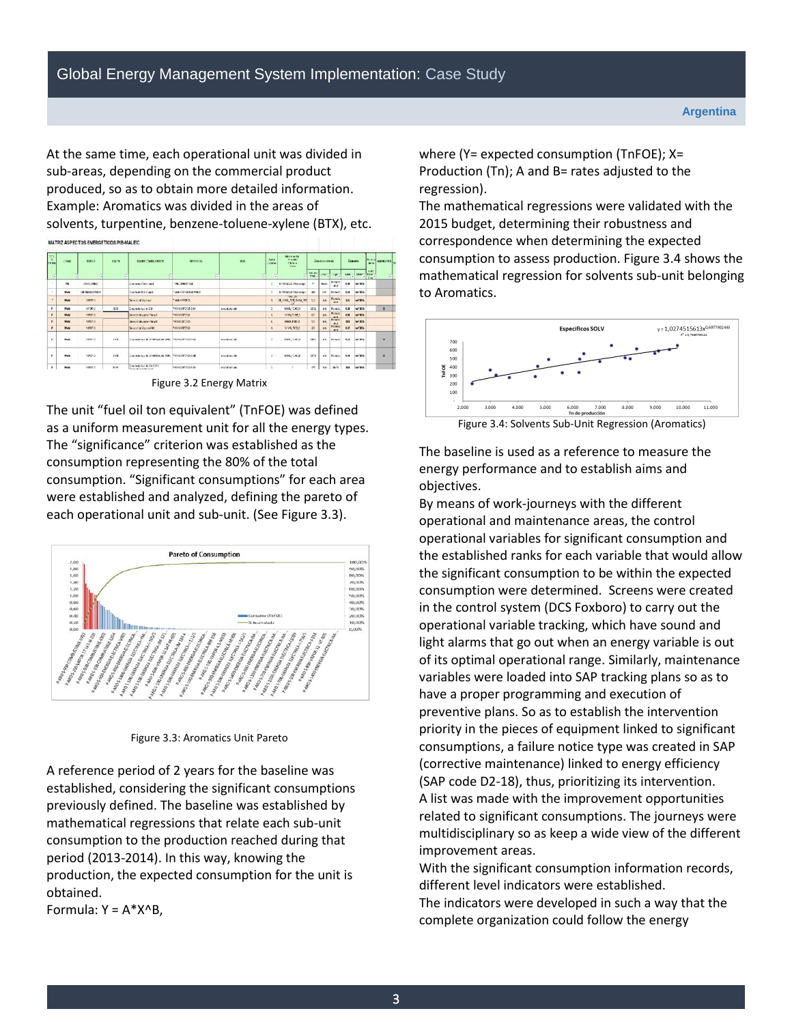At the same time, each operational unit was divided in sub-areas, depending on the commercial product produced, so as to obtain more detailed information. Example: Aromatics was divided in the areas of solvents, turpentine, benzene-toluene-xylene (BTX), etc.

MATRIZ ASPECTOS ENERGETICOS PIB-MALEIC

| <b>Strip</b><br>×<br><b>Carried</b> | <b>Links</b> | B.912               | 37.77                  | <b>DOMESTIC SECTION</b>                                    | <b>SETTIMACA</b>       | <b>ROO</b>                 | <b>Spain</b><br>Cowe | <b>NOVEMBER</b><br>Valle<br>raince<br><b>State</b> |                        | <b>Concess streets</b>   |                             |              | Consum                  | $ r_{\rm w} $<br>¥ | <b>MARKLES</b>          |  |
|-------------------------------------|--------------|---------------------|------------------------|------------------------------------------------------------|------------------------|----------------------------|----------------------|----------------------------------------------------|------------------------|--------------------------|-----------------------------|--------------|-------------------------|--------------------|-------------------------|--|
| ۰<br>54                             |              | ٠                   | ÷                      | 肩                                                          |                        |                            | п<br>۰               | е                                                  | 131.AD<br><b>Panel</b> |                          | <b>GOVERNMENT</b>           | <b>Suite</b> | <b>Jaguard Maryland</b> | A.MT               | $\overline{\mathbf{r}}$ |  |
| ٠                                   | $\mathbf{m}$ | <b>CEANCOMBER</b>   |                        | The web Clark and                                          | <b>PECIFICATION</b>    |                            | ÷                    | at 100 MAX, Nissanger                              | ×.                     | <b>Bries</b>             | Brown<br><b>AX</b>          | 118          | <b>SALES</b>            |                    |                         |  |
| n.                                  | <b>ASAN</b>  | <b>CANADIATORIA</b> |                        | The way to be a state of the                               | AND A VEHICLE SERVICE. |                            |                      | All 988 Millet (relentance)                        | <b>Sec.</b>            | <b>ISM</b>               | Borger                      | 664          | again.                  |                    |                         |  |
| ٠                                   | <b>Block</b> | <b>Ispect N</b>     |                        | <b>Democratical</b>                                        | WE HOWES               |                            |                      | <b>FR3. 85</b><br>THE GRID ROSE SHOW, THE          | 76 <sub>1</sub>        | $+6$                     | Bunda<br><b>MAR</b>         | <b>CEL</b>   | of Mix                  |                    |                         |  |
| $\overline{ }$                      | <b>Block</b> | 6900 LL             | <b>ECE</b>             | Department for a 4-50                                      | PASAWAY CROSS CALL     | World Stringer             | ÷.                   | 1049, 70432                                        | 168                    | <b>SD</b>                | <b>Bunda</b>                | 6.08         | $w$ and                 |                    | $\boldsymbol{\times}$   |  |
| ٠                                   | <b>MAN</b>   | <b>Wells</b>        |                        | Seimbargen Nad                                             | <b>HANSONORS</b>       |                            | ×                    | WW2 Note A                                         | mit                    | <b>AN</b>                | Primit<br>64                | 128          | <b>MODE</b>             |                    |                         |  |
| ×                                   | may          | <b>Special</b>      |                        | Several de generitata E                                    | WEER OLD               |                            | ĸ                    | <b>Halk Film is</b>                                | <b>Kit</b>             | $\overline{\phantom{a}}$ | <b>BUTWIT</b><br><b>WAR</b> | $\mathbf{m}$ | <b>Andrew</b>           |                    |                         |  |
| ×                                   | <b>Biddy</b> | <b>NAMES</b>        |                        | Beautiful Wagner Hill                                      | PRINTPOLS              |                            | ×.                   | UW 923                                             | ali                    | <b>AN</b>                | Pro wis<br>$-1$             | 6.39         | $-2906$                 |                    |                         |  |
| ×                                   | <b>Block</b> | VAND IS.            | 14.81                  | The market in 1048 Spinar Sept. Press of Changes           |                        | <b>Value of Auto Labor</b> | ×                    | 2045.1042.3                                        | 1977                   | 66                       | <b>Division</b>             | 6.33         | 66.876                  |                    | $\infty$                |  |
|                                     | <b>MAG</b>   | .<br>1442.3         | <b>CALLED</b><br>32.61 | Drawing Year & DE400x406 (MW)                              | Programmerse           | mount on the               | ×                    | <b>WAS FORCE</b>                                   | ses                    | <b>M</b>                 | <b>Provide</b>              | 4.94         | $-400$                  |                    | ×<br>$\mathbb{N}$       |  |
| ٠                                   | <b>BRAN</b>  | <b>Hales</b> is     | 6.84                   | Communication Statistics<br><b>Texas Arrests Bill Avel</b> | PANAMPROFITA           | Ward Sords                 | $\lambda$            |                                                    | ies.                   | 35                       | m/c                         | 488          | of \$15.                |                    |                         |  |

Figure 3.2 Energy Matrix

The unit "fuel oil ton equivalent" (TnFOE) was defined as a uniform measurement unit for all the energy types. The "significance" criterion was established as the consumption representing the 80% of the total consumption. "Significant consumptions" for each area were established and analyzed, defining the pareto of each operational unit and sub-unit. (See Figure 3.3).



Figure 3.3: Aromatics Unit Pareto

A reference period of 2 years for the baseline was established, considering the significant consumptions previously defined. The baseline was established by mathematical regressions that relate each sub-unit consumption to the production reached during that period (2013-2014). In this way, knowing the production, the expected consumption for the unit is obtained.

Formula:  $Y = A^*X^B$ ,

where (Y= expected consumption (TnFOE); X= Production (Tn); A and B= rates adjusted to the regression).

The mathematical regressions were validated with the 2015 budget, determining their robustness and correspondence when determining the expected consumption to assess production. Figure 3.4 shows the mathematical regression for solvents sub-unit belonging to Aromatics.



Figure 3.4: Solvents Sub-Unit Regression (Aromatics)

The baseline is used as a reference to measure the energy performance and to establish aims and objectives.

By means of work-journeys with the different operational and maintenance areas, the control operational variables for significant consumption and the established ranks for each variable that would allow the significant consumption to be within the expected consumption were determined. Screens were created in the control system (DCS Foxboro) to carry out the operational variable tracking, which have sound and light alarms that go out when an energy variable is out of its optimal operational range. Similarly, maintenance variables were loaded into SAP tracking plans so as to have a proper programming and execution of preventive plans. So as to establish the intervention priority in the pieces of equipment linked to significant consumptions, a failure notice type was created in SAP (corrective maintenance) linked to energy efficiency (SAP code D2-18), thus, prioritizing its intervention. A list was made with the improvement opportunities related to significant consumptions. The journeys were multidisciplinary so as keep a wide view of the different improvement areas.

With the significant consumption information records, different level indicators were established.

The indicators were developed in such a way that the complete organization could follow the energy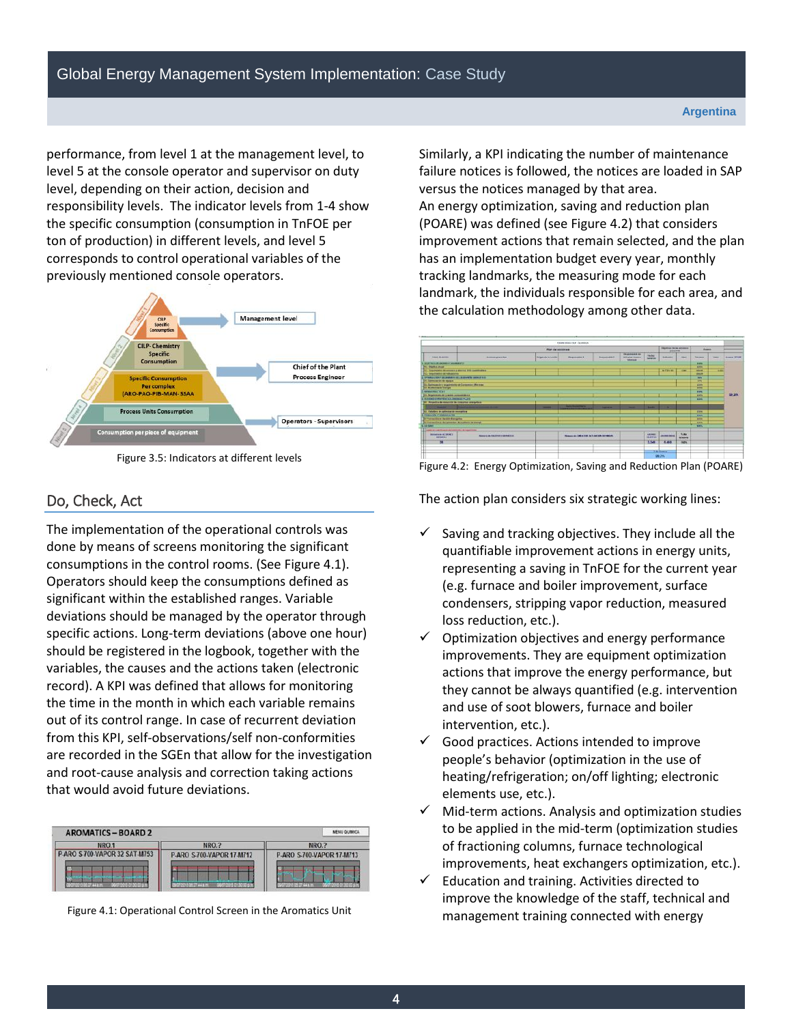performance, from level 1 at the management level, to level 5 at the console operator and supervisor on duty level, depending on their action, decision and responsibility levels. The indicator levels from 1-4 show the specific consumption (consumption in TnFOE per ton of production) in different levels, and level 5 corresponds to control operational variables of the previously mentioned console operators.



Figure 3.5: Indicators at different levels

### Do, Check, Act

The implementation of the operational controls was done by means of screens monitoring the significant consumptions in the control rooms. (See Figure 4.1). Operators should keep the consumptions defined as significant within the established ranges. Variable deviations should be managed by the operator through specific actions. Long-term deviations (above one hour) should be registered in the logbook, together with the variables, the causes and the actions taken (electronic record). A KPI was defined that allows for monitoring the time in the month in which each variable remains out of its control range. In case of recurrent deviation from this KPI, self-observations/self non-conformities are recorded in the SGEn that allow for the investigation and root-cause analysis and correction taking actions that would avoid future deviations.

| <b>AROMATICS - BOARD 2</b>    |                           | <b>MENU QUIMICA</b>       |
|-------------------------------|---------------------------|---------------------------|
| NRO.1                         | NRO.?                     | NRO.?                     |
| P-ARO S-700-VAPOR 32 SAT-M753 | P-ARO S-700-VAPOR 17-M712 | P-ARO S-700-VAPOR 17-M713 |
| Williams H. Mary              | WALLOWE 44 KG             |                           |

Figure 4.1: Operational Control Screen in the Aromatics Unit

Similarly, a KPI indicating the number of maintenance failure notices is followed, the notices are loaded in SAP versus the notices managed by that area. An energy optimization, saving and reduction plan (POARE) was defined (see Figure 4.2) that considers improvement actions that remain selected, and the plan has an implementation budget every year, monthly tracking landmarks, the measuring mode for each landmark, the individuals responsible for each area, and the calculation methodology among other data.



Figure 4.2: Energy Optimization, Saving and Reduction Plan (POARE)

The action plan considers six strategic working lines:

- $\checkmark$  Saving and tracking objectives. They include all the quantifiable improvement actions in energy units, representing a saving in TnFOE for the current year (e.g. furnace and boiler improvement, surface condensers, stripping vapor reduction, measured loss reduction, etc.).
- $\checkmark$  Optimization objectives and energy performance improvements. They are equipment optimization actions that improve the energy performance, but they cannot be always quantified (e.g. intervention and use of soot blowers, furnace and boiler intervention, etc.).
- Good practices. Actions intended to improve people's behavior (optimization in the use of heating/refrigeration; on/off lighting; electronic elements use, etc.).
- $\checkmark$  Mid-term actions. Analysis and optimization studies to be applied in the mid-term (optimization studies of fractioning columns, furnace technological improvements, heat exchangers optimization, etc.).
- Education and training. Activities directed to improve the knowledge of the staff, technical and management training connected with energy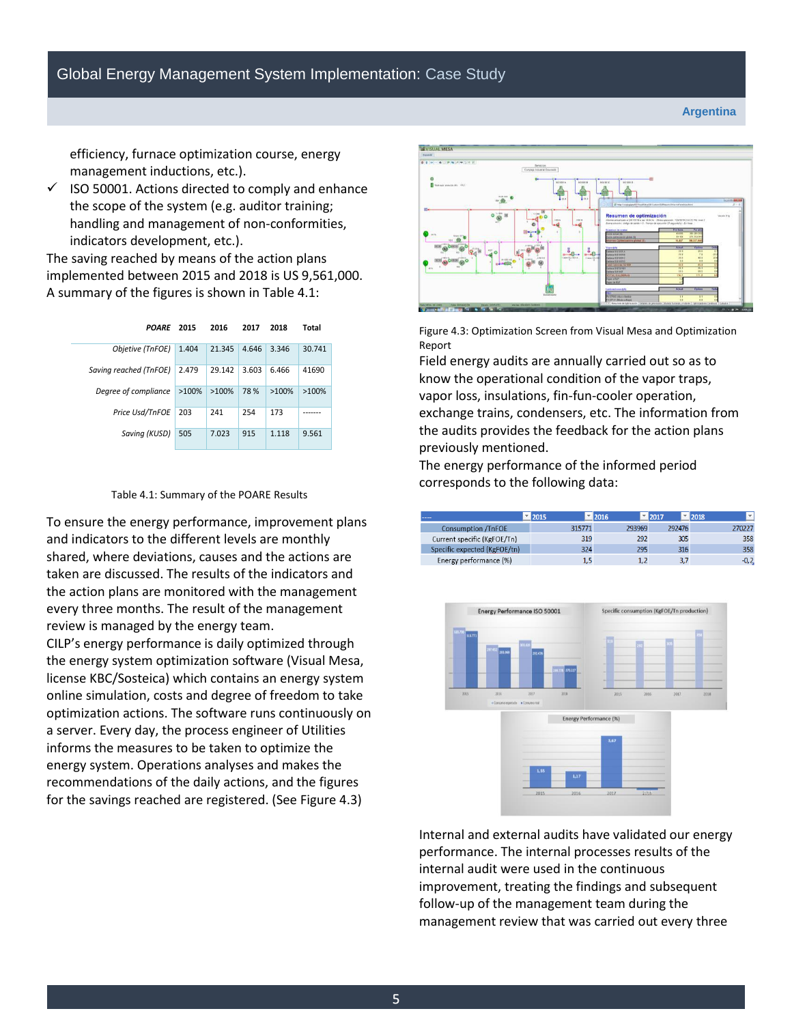**Argentina**

efficiency, furnace optimization course, energy management inductions, etc.).

 $\checkmark$  ISO 50001. Actions directed to comply and enhance the scope of the system (e.g. auditor training; handling and management of non-conformities, indicators development, etc.).

The saving reached by means of the action plans implemented between 2015 and 2018 is US 9,561,000. A summary of the figures is shown in Table 4.1:

| <b>POARE</b>           | 2015     | 2016     | 2017  | 2018     | Total    |
|------------------------|----------|----------|-------|----------|----------|
| Objetive (TnFOE)       | 1.404    | 21.345   | 4.646 | 3.346    | 30.741   |
| Saving reached (TnFOE) | 2.479    | 29.142   | 3.603 | 6.466    | 41690    |
| Degree of compliance   | $>100\%$ | $>100\%$ | 78%   | $>100\%$ | $>100\%$ |
| Price Usd/TnFOE        | 203      | 241      | 254   | 173      |          |
| Saving (KUSD)          | 505      | 7.023    | 915   | 1.118    | 9.561    |



To ensure the energy performance, improvement plans and indicators to the different levels are monthly shared, where deviations, causes and the actions are taken are discussed. The results of the indicators and the action plans are monitored with the management every three months. The result of the management review is managed by the energy team. CILP's energy performance is daily optimized through the energy system optimization software (Visual Mesa, license KBC/Sosteica) which contains an energy system online simulation, costs and degree of freedom to take optimization actions. The software runs continuously on a server. Every day, the process engineer of Utilities informs the measures to be taken to optimize the energy system. Operations analyses and makes the recommendations of the daily actions, and the figures

for the savings reached are registered. (See Figure 4.3)



Figure 4.3: Optimization Screen from Visual Mesa and Optimization Report

Field energy audits are annually carried out so as to know the operational condition of the vapor traps, vapor loss, insulations, fin-fun-cooler operation, exchange trains, condensers, etc. The information from the audits provides the feedback for the action plans previously mentioned.

The energy performance of the informed period corresponds to the following data:

| ----                         | 2015   | 2016   | 2017   | 2018   | ÷ |
|------------------------------|--------|--------|--------|--------|---|
| <b>Consumption /TnFOE</b>    | 315771 | 293969 | 292476 | 270227 |   |
| Current specific (KgFOE/Tn)  | 319    | 292    | 305    | 358    |   |
| Specific expected (KgFOE/tn) | 324    | 295    | 316    | 358    |   |
| Energy performance (%)       |        |        | 3,7    | $-0,2$ |   |



Internal and external audits have validated our energy performance. The internal processes results of the internal audit were used in the continuous improvement, treating the findings and subsequent follow-up of the management team during the management review that was carried out every three